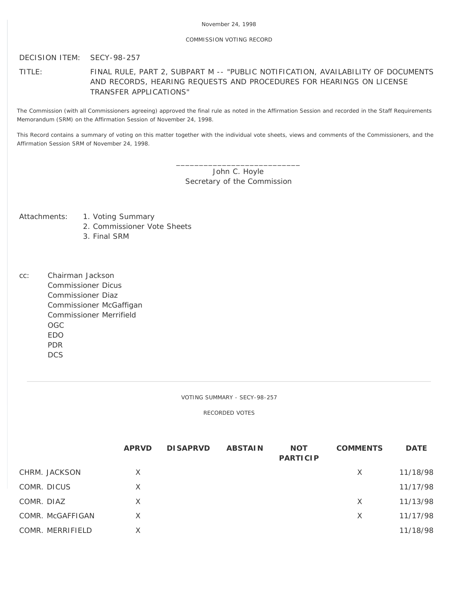# COMMISSION VOTING RECORD

DECISION ITEM: SECY-98-257

TITLE: FINAL RULE, PART 2, SUBPART M -- "PUBLIC NOTIFICATION, AVAILABILITY OF DOCUMENTS AND RECORDS, HEARING REQUESTS AND PROCEDURES FOR HEARINGS ON LICENSE TRANSFER APPLICATIONS"

The Commission (with all Commissioners agreeing) approved the final rule as noted in the Affirmation Session and recorded in the Staff Requirements Memorandum (SRM) on the Affirmation Session of November 24, 1998.

This Record contains a summary of voting on this matter together with the individual vote sheets, views and comments of the Commissioners, and the Affirmation Session SRM of November 24, 1998.

> \_\_\_\_\_\_\_\_\_\_\_\_\_\_\_\_\_\_\_\_\_\_\_\_\_\_\_ John C. Hoyle Secretary of the Commission

- Attachments: 1. Voting Summary
	- 2. Commissioner Vote Sheets
	- 3. Final SRM
- cc: Chairman Jackson Commissioner Dicus Commissioner Diaz Commissioner McGaffigan Commissioner Merrifield OGC EDO PDR **DCS**

VOTING SUMMARY - SECY-98-257

RECORDED VOTES

|                  | <b>APRVD</b> | <b>DISAPRVD</b> | <b>ABSTAIN</b> | <b>NOT</b><br><b>PARTICIP</b> | <b>COMMENTS</b> | <b>DATE</b> |
|------------------|--------------|-----------------|----------------|-------------------------------|-----------------|-------------|
| CHRM. JACKSON    | X            |                 |                |                               | X               | 11/18/98    |
| COMR. DICUS      | X            |                 |                |                               |                 | 11/17/98    |
| COMR. DIAZ       | X            |                 |                |                               | X               | 11/13/98    |
| COMR. McGAFFIGAN | X            |                 |                |                               | X               | 11/17/98    |
| COMR. MERRIFIELD |              |                 |                |                               |                 | 11/18/98    |